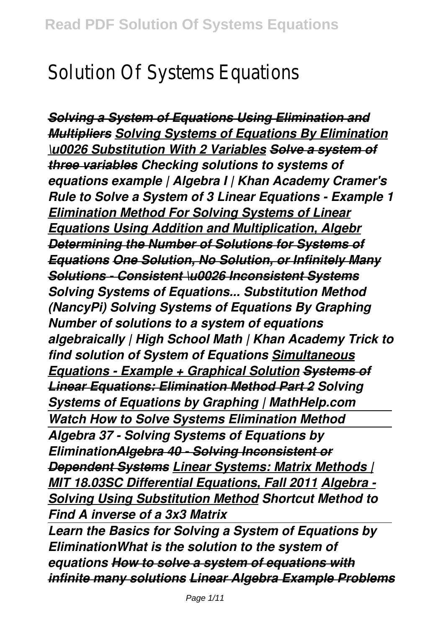## Solution Of Systems Equations

*Solving a System of Equations Using Elimination and Multipliers Solving Systems of Equations By Elimination \u0026 Substitution With 2 Variables Solve a system of three variables Checking solutions to systems of equations example | Algebra I | Khan Academy Cramer's Rule to Solve a System of 3 Linear Equations - Example 1 Elimination Method For Solving Systems of Linear Equations Using Addition and Multiplication, Algebr Determining the Number of Solutions for Systems of Equations One Solution, No Solution, or Infinitely Many Solutions - Consistent \u0026 Inconsistent Systems Solving Systems of Equations... Substitution Method (NancyPi) Solving Systems of Equations By Graphing Number of solutions to a system of equations algebraically | High School Math | Khan Academy Trick to find solution of System of Equations Simultaneous Equations - Example + Graphical Solution Systems of Linear Equations: Elimination Method Part 2 Solving Systems of Equations by Graphing | MathHelp.com Watch How to Solve Systems Elimination Method Algebra 37 - Solving Systems of Equations by EliminationAlgebra 40 - Solving Inconsistent or Dependent Systems Linear Systems: Matrix Methods | MIT 18.03SC Differential Equations, Fall 2011 Algebra - Solving Using Substitution Method Shortcut Method to Find A inverse of a 3x3 Matrix Learn the Basics for Solving a System of Equations by EliminationWhat is the solution to the system of*

*equations How to solve a system of equations with infinite many solutions Linear Algebra Example Problems*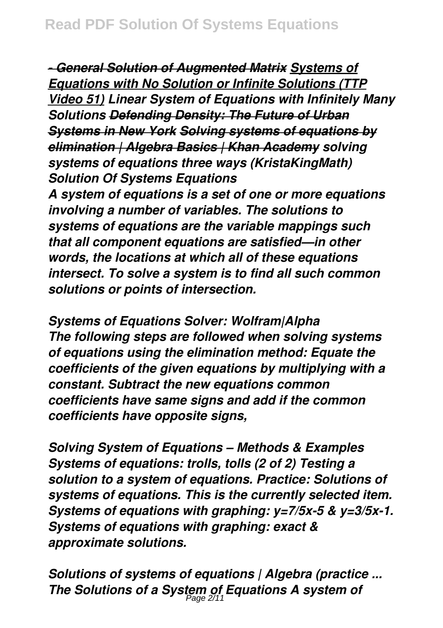*- General Solution of Augmented Matrix Systems of Equations with No Solution or Infinite Solutions (TTP Video 51) Linear System of Equations with Infinitely Many Solutions Defending Density: The Future of Urban Systems in New York Solving systems of equations by elimination | Algebra Basics | Khan Academy solving systems of equations three ways (KristaKingMath) Solution Of Systems Equations*

*A system of equations is a set of one or more equations involving a number of variables. The solutions to systems of equations are the variable mappings such that all component equations are satisfied—in other words, the locations at which all of these equations intersect. To solve a system is to find all such common solutions or points of intersection.*

*Systems of Equations Solver: Wolfram|Alpha The following steps are followed when solving systems of equations using the elimination method: Equate the coefficients of the given equations by multiplying with a constant. Subtract the new equations common coefficients have same signs and add if the common coefficients have opposite signs,*

*Solving System of Equations – Methods & Examples Systems of equations: trolls, tolls (2 of 2) Testing a solution to a system of equations. Practice: Solutions of systems of equations. This is the currently selected item. Systems of equations with graphing: y=7/5x-5 & y=3/5x-1. Systems of equations with graphing: exact & approximate solutions.*

*Solutions of systems of equations | Algebra (practice ... The Solutions of a System of Equations A system of* Page 2/11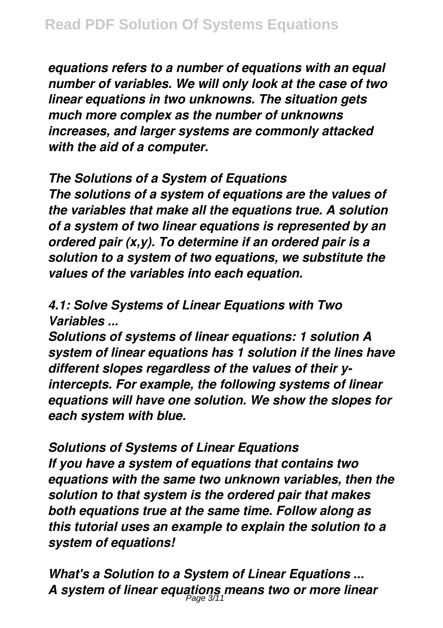*equations refers to a number of equations with an equal number of variables. We will only look at the case of two linear equations in two unknowns. The situation gets much more complex as the number of unknowns increases, and larger systems are commonly attacked with the aid of a computer.*

*The Solutions of a System of Equations*

*The solutions of a system of equations are the values of the variables that make all the equations true. A solution of a system of two linear equations is represented by an ordered pair (x,y). To determine if an ordered pair is a solution to a system of two equations, we substitute the values of the variables into each equation.*

*4.1: Solve Systems of Linear Equations with Two Variables ...*

*Solutions of systems of linear equations: 1 solution A system of linear equations has 1 solution if the lines have different slopes regardless of the values of their yintercepts. For example, the following systems of linear equations will have one solution. We show the slopes for each system with blue.*

*Solutions of Systems of Linear Equations If you have a system of equations that contains two equations with the same two unknown variables, then the solution to that system is the ordered pair that makes both equations true at the same time. Follow along as this tutorial uses an example to explain the solution to a system of equations!*

*What's a Solution to a System of Linear Equations ... A system of linear equations means two or more linear* Page 3/11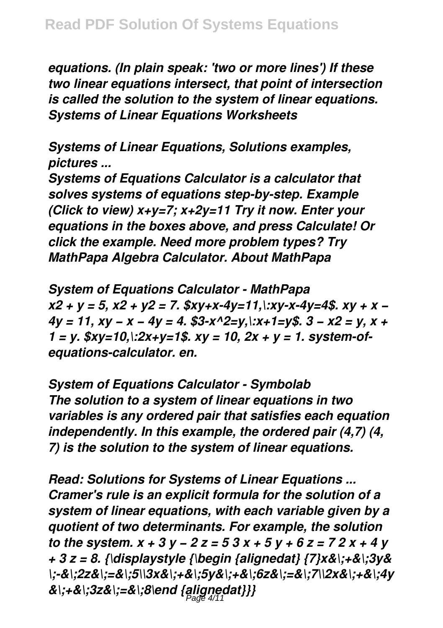*equations. (In plain speak: 'two or more lines') If these two linear equations intersect, that point of intersection is called the solution to the system of linear equations. Systems of Linear Equations Worksheets*

*Systems of Linear Equations, Solutions examples, pictures ...*

*Systems of Equations Calculator is a calculator that solves systems of equations step-by-step. Example (Click to view) x+y=7; x+2y=11 Try it now. Enter your equations in the boxes above, and press Calculate! Or click the example. Need more problem types? Try MathPapa Algebra Calculator. About MathPapa*

*System of Equations Calculator - MathPapa x2 + y = 5, x2 + y2 = 7. \$xy+x-4y=11,\:xy-x-4y=4\$. xy + x − 4y = 11, xy − x − 4y = 4. \$3-x^2=y,\:x+1=y\$. 3 − x2 = y, x + 1 = y. \$xy=10,\:2x+y=1\$. xy = 10, 2x + y = 1. system-ofequations-calculator. en.*

*System of Equations Calculator - Symbolab The solution to a system of linear equations in two variables is any ordered pair that satisfies each equation independently. In this example, the ordered pair (4,7) (4, 7) is the solution to the system of linear equations.*

*Read: Solutions for Systems of Linear Equations ... Cramer's rule is an explicit formula for the solution of a system of linear equations, with each variable given by a quotient of two determinants. For example, the solution to the system. x + 3 y − 2 z = 5 3 x + 5 y + 6 z = 7 2 x + 4 y + 3 z = 8. {\displaystyle {\begin {alignedat} {7}x&\;+&\;3y& \;-&\;2z&\;=&\;5\\3x&\;+&\;5y&\;+&\;6z&\;=&\;7\\2x&\;+&\;4y &\;+&\;3z&\;=&\;8\end {alignedat}}}* Page 4/11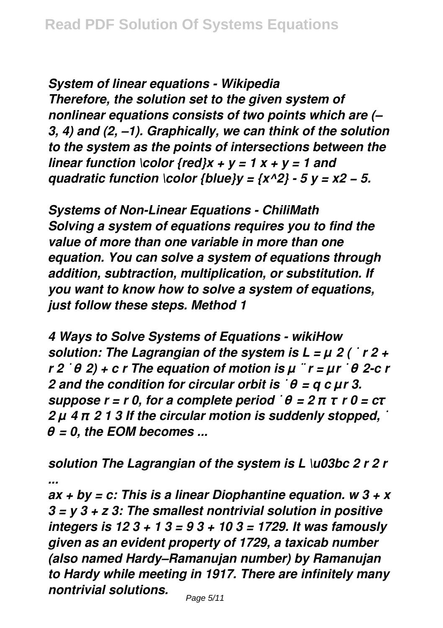*System of linear equations - Wikipedia Therefore, the solution set to the given system of nonlinear equations consists of two points which are (– 3, 4) and (2, –1). Graphically, we can think of the solution to the system as the points of intersections between the linear function \color {red}x + y = 1 x + y = 1 and quadratic function \color {blue}y =*  $\{x^2/3 - 5y = x^2 - 5\}$ *.* 

*Systems of Non-Linear Equations - ChiliMath Solving a system of equations requires you to find the value of more than one variable in more than one equation. You can solve a system of equations through addition, subtraction, multiplication, or substitution. If you want to know how to solve a system of equations, just follow these steps. Method 1*

*4 Ways to Solve Systems of Equations - wikiHow solution: The Lagrangian of the system is L = μ 2 ( ˙ r 2 + r 2 ˙ θ 2) + c r The equation of motion is μ ¨ r = μr ˙ θ 2-c r 2 and the condition for circular orbit is ˙ θ = q c μr 3. suppose r = r 0, for a complete period ˙ θ = 2 π τ r 0 = cτ 2 μ 4 π 2 1 3 If the circular motion is suddenly stopped, ˙ θ = 0, the EOM becomes ...*

*solution The Lagrangian of the system is L \u03bc 2 r 2 r ...*

*ax + by = c: This is a linear Diophantine equation. w 3 + x 3 = y 3 + z 3: The smallest nontrivial solution in positive integers is 12 3 + 1 3 = 9 3 + 10 3 = 1729. It was famously given as an evident property of 1729, a taxicab number (also named Hardy–Ramanujan number) by Ramanujan to Hardy while meeting in 1917. There are infinitely many nontrivial solutions.*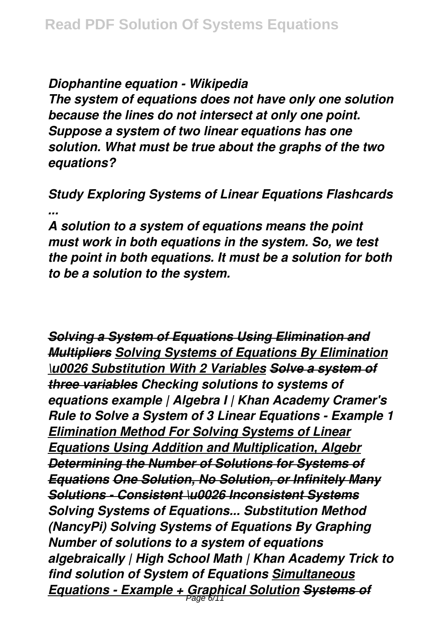*Diophantine equation - Wikipedia*

*The system of equations does not have only one solution because the lines do not intersect at only one point. Suppose a system of two linear equations has one solution. What must be true about the graphs of the two equations?*

*Study Exploring Systems of Linear Equations Flashcards ...*

*A solution to a system of equations means the point must work in both equations in the system. So, we test the point in both equations. It must be a solution for both to be a solution to the system.*

*Solving a System of Equations Using Elimination and Multipliers Solving Systems of Equations By Elimination \u0026 Substitution With 2 Variables Solve a system of three variables Checking solutions to systems of equations example | Algebra I | Khan Academy Cramer's Rule to Solve a System of 3 Linear Equations - Example 1 Elimination Method For Solving Systems of Linear Equations Using Addition and Multiplication, Algebr Determining the Number of Solutions for Systems of Equations One Solution, No Solution, or Infinitely Many Solutions - Consistent \u0026 Inconsistent Systems Solving Systems of Equations... Substitution Method (NancyPi) Solving Systems of Equations By Graphing Number of solutions to a system of equations algebraically | High School Math | Khan Academy Trick to find solution of System of Equations Simultaneous Equations - Example + Graphical Solution Systems of* Page 6/11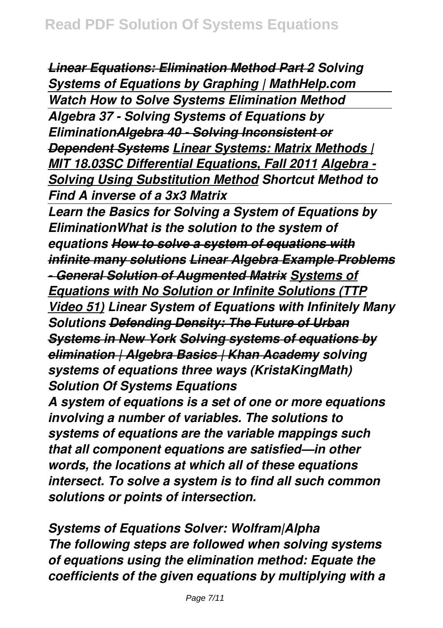*Linear Equations: Elimination Method Part 2 Solving Systems of Equations by Graphing | MathHelp.com Watch How to Solve Systems Elimination Method Algebra 37 - Solving Systems of Equations by EliminationAlgebra 40 - Solving Inconsistent or Dependent Systems Linear Systems: Matrix Methods | MIT 18.03SC Differential Equations, Fall 2011 Algebra - Solving Using Substitution Method Shortcut Method to Find A inverse of a 3x3 Matrix* 

*Learn the Basics for Solving a System of Equations by EliminationWhat is the solution to the system of equations How to solve a system of equations with infinite many solutions Linear Algebra Example Problems - General Solution of Augmented Matrix Systems of Equations with No Solution or Infinite Solutions (TTP Video 51) Linear System of Equations with Infinitely Many Solutions Defending Density: The Future of Urban Systems in New York Solving systems of equations by elimination | Algebra Basics | Khan Academy solving systems of equations three ways (KristaKingMath) Solution Of Systems Equations*

*A system of equations is a set of one or more equations involving a number of variables. The solutions to systems of equations are the variable mappings such that all component equations are satisfied—in other words, the locations at which all of these equations intersect. To solve a system is to find all such common solutions or points of intersection.*

*Systems of Equations Solver: Wolfram|Alpha The following steps are followed when solving systems of equations using the elimination method: Equate the coefficients of the given equations by multiplying with a*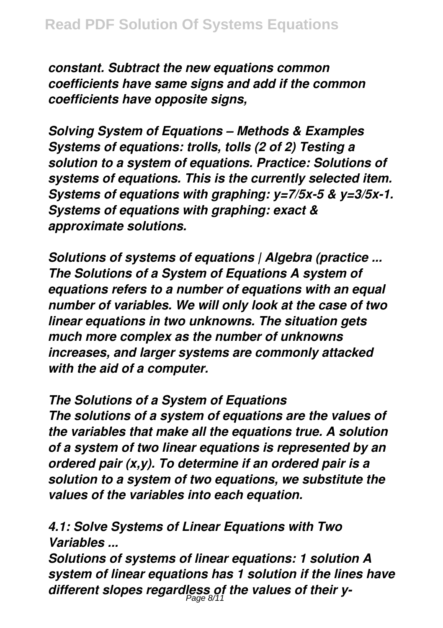*constant. Subtract the new equations common coefficients have same signs and add if the common coefficients have opposite signs,*

*Solving System of Equations – Methods & Examples Systems of equations: trolls, tolls (2 of 2) Testing a solution to a system of equations. Practice: Solutions of systems of equations. This is the currently selected item. Systems of equations with graphing: y=7/5x-5 & y=3/5x-1. Systems of equations with graphing: exact & approximate solutions.*

*Solutions of systems of equations | Algebra (practice ... The Solutions of a System of Equations A system of equations refers to a number of equations with an equal number of variables. We will only look at the case of two linear equations in two unknowns. The situation gets much more complex as the number of unknowns increases, and larger systems are commonly attacked with the aid of a computer.*

*The Solutions of a System of Equations The solutions of a system of equations are the values of*

*the variables that make all the equations true. A solution of a system of two linear equations is represented by an ordered pair (x,y). To determine if an ordered pair is a solution to a system of two equations, we substitute the values of the variables into each equation.*

*4.1: Solve Systems of Linear Equations with Two Variables ...*

*Solutions of systems of linear equations: 1 solution A system of linear equations has 1 solution if the lines have different slopes regardless of the values of their y-*Page 8/11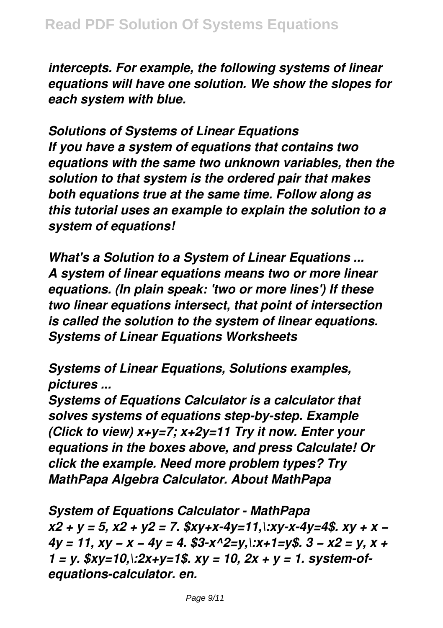*intercepts. For example, the following systems of linear equations will have one solution. We show the slopes for each system with blue.*

*Solutions of Systems of Linear Equations If you have a system of equations that contains two equations with the same two unknown variables, then the solution to that system is the ordered pair that makes both equations true at the same time. Follow along as this tutorial uses an example to explain the solution to a system of equations!*

*What's a Solution to a System of Linear Equations ... A system of linear equations means two or more linear equations. (In plain speak: 'two or more lines') If these two linear equations intersect, that point of intersection is called the solution to the system of linear equations. Systems of Linear Equations Worksheets*

*Systems of Linear Equations, Solutions examples, pictures ...*

*Systems of Equations Calculator is a calculator that solves systems of equations step-by-step. Example (Click to view) x+y=7; x+2y=11 Try it now. Enter your equations in the boxes above, and press Calculate! Or click the example. Need more problem types? Try MathPapa Algebra Calculator. About MathPapa*

*System of Equations Calculator - MathPapa x2 + y = 5, x2 + y2 = 7. \$xy+x-4y=11,\:xy-x-4y=4\$. xy + x − 4y = 11, xy − x − 4y = 4. \$3-x^2=y,\:x+1=y\$. 3 − x2 = y, x + 1 = y. \$xy=10,\:2x+y=1\$. xy = 10, 2x + y = 1. system-ofequations-calculator. en.*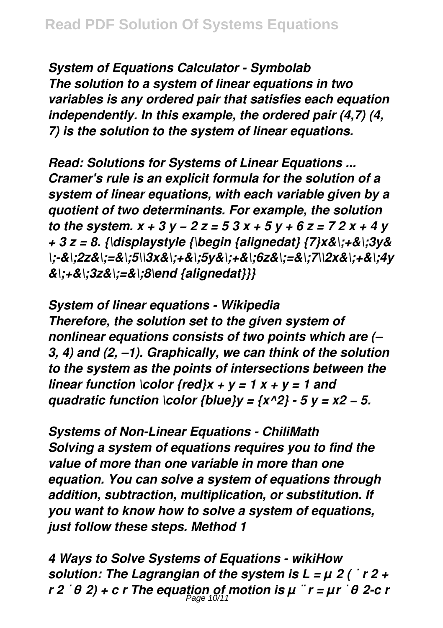*System of Equations Calculator - Symbolab The solution to a system of linear equations in two variables is any ordered pair that satisfies each equation independently. In this example, the ordered pair (4,7) (4, 7) is the solution to the system of linear equations.*

*Read: Solutions for Systems of Linear Equations ... Cramer's rule is an explicit formula for the solution of a system of linear equations, with each variable given by a quotient of two determinants. For example, the solution to the system. x + 3 y − 2 z = 5 3 x + 5 y + 6 z = 7 2 x + 4 y + 3 z = 8. {\displaystyle {\begin {alignedat} {7}x&\;+&\;3y& \;-&\;2z&\;=&\;5\\3x&\;+&\;5y&\;+&\;6z&\;=&\;7\\2x&\;+&\;4y &\;+&\;3z&\;=&\;8\end {alignedat}}}*

*System of linear equations - Wikipedia Therefore, the solution set to the given system of nonlinear equations consists of two points which are (– 3, 4) and (2, –1). Graphically, we can think of the solution to the system as the points of intersections between the linear function \color {red}x + y = 1 x + y = 1 and quadratic function \color {blue}y =*  $\{x^2/3 - 5y = x^2 - 5\}$ *.* 

*Systems of Non-Linear Equations - ChiliMath Solving a system of equations requires you to find the value of more than one variable in more than one equation. You can solve a system of equations through addition, subtraction, multiplication, or substitution. If you want to know how to solve a system of equations, just follow these steps. Method 1*

*4 Ways to Solve Systems of Equations - wikiHow solution: The Lagrangian of the system is L = μ 2 ( ˙ r 2 + r 2 ˙ θ 2) + c r The equation of motion is μ ¨ r = μr ˙ θ 2-c r*